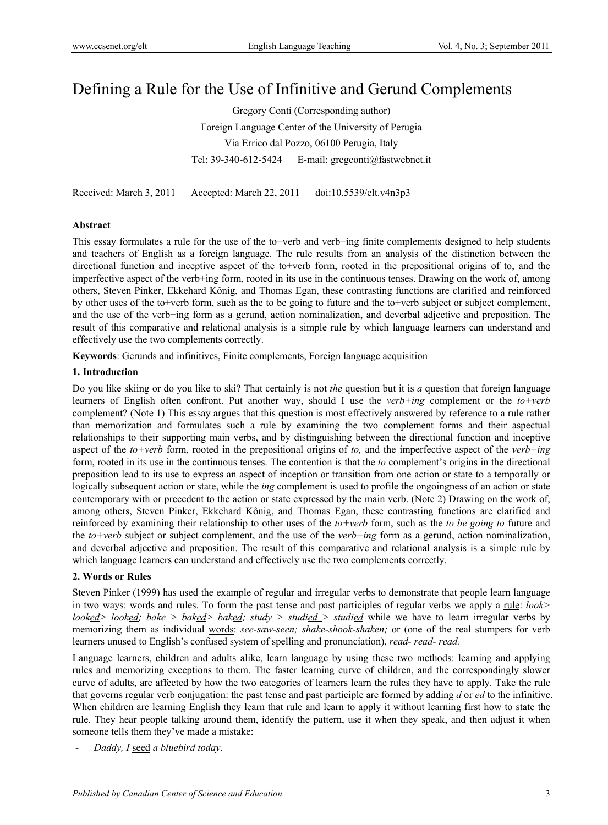# Defining a Rule for the Use of Infinitive and Gerund Complements

Gregory Conti (Corresponding author) Foreign Language Center of the University of Perugia Via Errico dal Pozzo, 06100 Perugia, Italy Tel: 39-340-612-5424 E-mail: gregconti@fastwebnet.it

Received: March 3, 2011 Accepted: March 22, 2011 doi:10.5539/elt.v4n3p3

# **Abstract**

This essay formulates a rule for the use of the to+verb and verb+ing finite complements designed to help students and teachers of English as a foreign language. The rule results from an analysis of the distinction between the directional function and inceptive aspect of the to+verb form, rooted in the prepositional origins of to, and the imperfective aspect of the verb+ing form, rooted in its use in the continuous tenses. Drawing on the work of, among others, Steven Pinker, Ekkehard Kônig, and Thomas Egan, these contrasting functions are clarified and reinforced by other uses of the to+verb form, such as the to be going to future and the to+verb subject or subject complement, and the use of the verb+ing form as a gerund, action nominalization, and deverbal adjective and preposition. The result of this comparative and relational analysis is a simple rule by which language learners can understand and effectively use the two complements correctly.

**Keywords**: Gerunds and infinitives, Finite complements, Foreign language acquisition

# **1. Introduction**

Do you like skiing or do you like to ski? That certainly is not *the* question but it is *a* question that foreign language learners of English often confront. Put another way, should I use the *verb+ing* complement or the *to+verb* complement? (Note 1) This essay argues that this question is most effectively answered by reference to a rule rather than memorization and formulates such a rule by examining the two complement forms and their aspectual relationships to their supporting main verbs, and by distinguishing between the directional function and inceptive aspect of the *to+verb* form, rooted in the prepositional origins of *to,* and the imperfective aspect of the *verb+ing*  form, rooted in its use in the continuous tenses. The contention is that the *to* complement's origins in the directional preposition lead to its use to express an aspect of inception or transition from one action or state to a temporally or logically subsequent action or state, while the *ing* complement is used to profile the ongoingness of an action or state contemporary with or precedent to the action or state expressed by the main verb. (Note 2) Drawing on the work of, among others, Steven Pinker, Ekkehard Kônig, and Thomas Egan, these contrasting functions are clarified and reinforced by examining their relationship to other uses of the *to+verb* form, such as the *to be going to* future and the *to+verb* subject or subject complement, and the use of the *verb+ing* form as a gerund, action nominalization, and deverbal adjective and preposition. The result of this comparative and relational analysis is a simple rule by which language learners can understand and effectively use the two complements correctly.

# **2. Words or Rules**

Steven Pinker (1999) has used the example of regular and irregular verbs to demonstrate that people learn language in two ways: words and rules. To form the past tense and past participles of regular verbs we apply a rule: *look> looked> looked; bake > baked> baked; study > studied > studied* while we have to learn irregular verbs by memorizing them as individual words: *see-saw-seen; shake-shook-shaken;* or (one of the real stumpers for verb learners unused to English's confused system of spelling and pronunciation), *read- read- read.*

Language learners, children and adults alike, learn language by using these two methods: learning and applying rules and memorizing exceptions to them. The faster learning curve of children, and the correspondingly slower curve of adults, are affected by how the two categories of learners learn the rules they have to apply. Take the rule that governs regular verb conjugation: the past tense and past participle are formed by adding *d* or *ed* to the infinitive. When children are learning English they learn that rule and learn to apply it without learning first how to state the rule. They hear people talking around them, identify the pattern, use it when they speak, and then adjust it when someone tells them they've made a mistake:

- *Daddy, I* seed *a bluebird today*.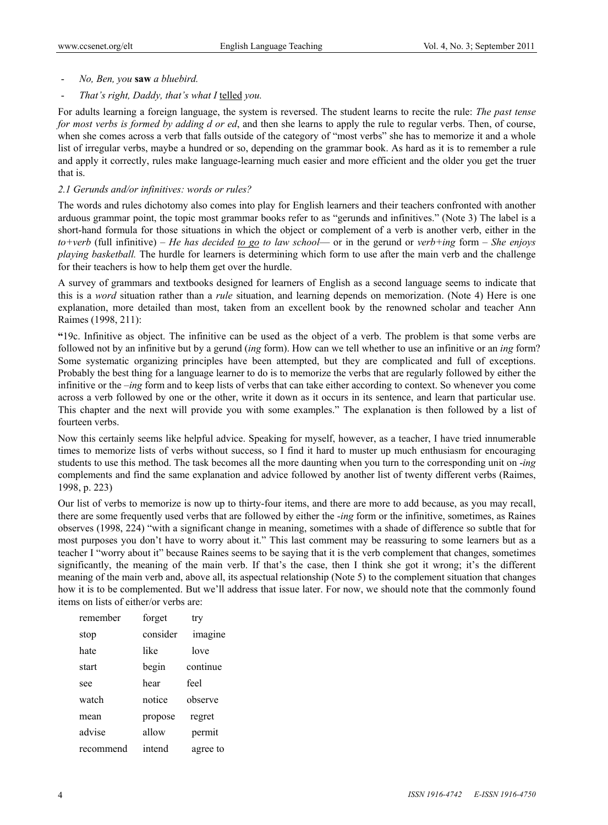- *No, Ben, you* **saw** *a bluebird.*
- *That's right, Daddy, that's what I* telled *you.*

For adults learning a foreign language, the system is reversed. The student learns to recite the rule: *The past tense for most verbs is formed by adding d or ed*, and then she learns to apply the rule to regular verbs. Then, of course, when she comes across a verb that falls outside of the category of "most verbs" she has to memorize it and a whole list of irregular verbs, maybe a hundred or so, depending on the grammar book. As hard as it is to remember a rule and apply it correctly, rules make language-learning much easier and more efficient and the older you get the truer that is.

## *2.1 Gerunds and/or infinitives: words or rules?*

The words and rules dichotomy also comes into play for English learners and their teachers confronted with another arduous grammar point, the topic most grammar books refer to as "gerunds and infinitives." (Note 3) The label is a short-hand formula for those situations in which the object or complement of a verb is another verb, either in the *to+verb* (full infinitive) – *He has decided to go to law school*— or in the gerund or *verb+ing* form – *She enjoys playing basketball.* The hurdle for learners is determining which form to use after the main verb and the challenge for their teachers is how to help them get over the hurdle.

A survey of grammars and textbooks designed for learners of English as a second language seems to indicate that this is a *word* situation rather than a *rule* situation, and learning depends on memorization. (Note 4) Here is one explanation, more detailed than most, taken from an excellent book by the renowned scholar and teacher Ann Raimes (1998, 211):

**"**19c. Infinitive as object. The infinitive can be used as the object of a verb. The problem is that some verbs are followed not by an infinitive but by a gerund (*ing* form). How can we tell whether to use an infinitive or an *ing* form? Some systematic organizing principles have been attempted, but they are complicated and full of exceptions. Probably the best thing for a language learner to do is to memorize the verbs that are regularly followed by either the infinitive or the *–ing* form and to keep lists of verbs that can take either according to context. So whenever you come across a verb followed by one or the other, write it down as it occurs in its sentence, and learn that particular use. This chapter and the next will provide you with some examples." The explanation is then followed by a list of fourteen verbs.

Now this certainly seems like helpful advice. Speaking for myself, however, as a teacher, I have tried innumerable times to memorize lists of verbs without success, so I find it hard to muster up much enthusiasm for encouraging students to use this method. The task becomes all the more daunting when you turn to the corresponding unit on -*ing* complements and find the same explanation and advice followed by another list of twenty different verbs (Raimes, 1998, p. 223)

Our list of verbs to memorize is now up to thirty-four items, and there are more to add because, as you may recall, there are some frequently used verbs that are followed by either the -*ing* form or the infinitive, sometimes, as Raines observes (1998, 224) "with a significant change in meaning, sometimes with a shade of difference so subtle that for most purposes you don't have to worry about it." This last comment may be reassuring to some learners but as a teacher I "worry about it" because Raines seems to be saying that it is the verb complement that changes, sometimes significantly, the meaning of the main verb. If that's the case, then I think she got it wrong; it's the different meaning of the main verb and, above all, its aspectual relationship (Note 5) to the complement situation that changes how it is to be complemented. But we'll address that issue later. For now, we should note that the commonly found items on lists of either/or verbs are:

| remember  | forget   | try      |
|-----------|----------|----------|
| stop      | consider | imagine  |
| hate      | like     | love     |
| start     | begin    | continue |
| see       | hear     | feel     |
| watch     | notice   | observe  |
| mean      | propose  | regret   |
| advise    | allow    | permit   |
| recommend | intend   | agree to |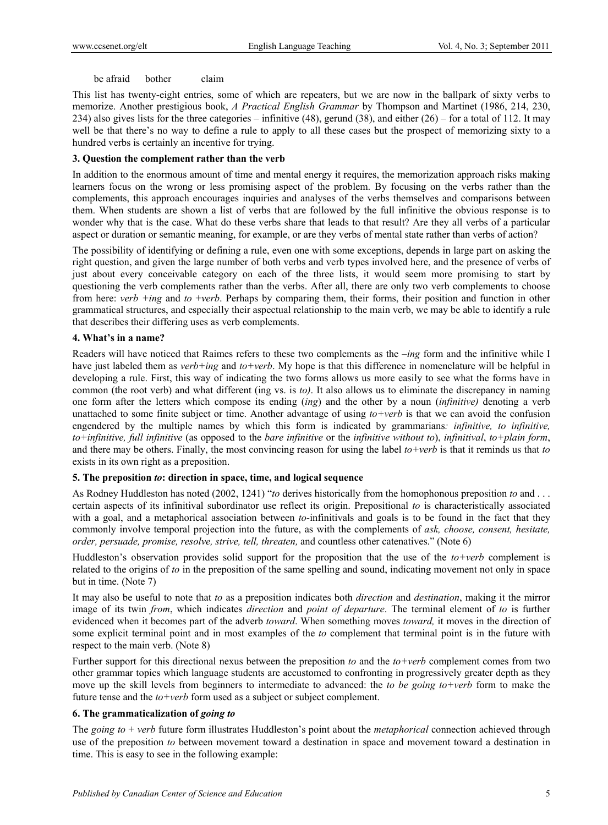## be afraid bother claim

This list has twenty-eight entries, some of which are repeaters, but we are now in the ballpark of sixty verbs to memorize. Another prestigious book, *A Practical English Grammar* by Thompson and Martinet (1986, 214, 230, 234) also gives lists for the three categories – infinitive (48), gerund (38), and either  $(26)$  – for a total of 112. It may well be that there's no way to define a rule to apply to all these cases but the prospect of memorizing sixty to a hundred verbs is certainly an incentive for trying.

## **3. Question the complement rather than the verb**

In addition to the enormous amount of time and mental energy it requires, the memorization approach risks making learners focus on the wrong or less promising aspect of the problem. By focusing on the verbs rather than the complements, this approach encourages inquiries and analyses of the verbs themselves and comparisons between them. When students are shown a list of verbs that are followed by the full infinitive the obvious response is to wonder why that is the case. What do these verbs share that leads to that result? Are they all verbs of a particular aspect or duration or semantic meaning, for example, or are they verbs of mental state rather than verbs of action?

The possibility of identifying or defining a rule, even one with some exceptions, depends in large part on asking the right question, and given the large number of both verbs and verb types involved here, and the presence of verbs of just about every conceivable category on each of the three lists, it would seem more promising to start by questioning the verb complements rather than the verbs. After all, there are only two verb complements to choose from here: *verb +ing* and *to* +*verb*. Perhaps by comparing them, their forms, their position and function in other grammatical structures, and especially their aspectual relationship to the main verb, we may be able to identify a rule that describes their differing uses as verb complements.

# **4. What's in a name?**

Readers will have noticed that Raimes refers to these two complements as the *–ing* form and the infinitive while I have just labeled them as *verb+ing* and *to+verb*. My hope is that this difference in nomenclature will be helpful in developing a rule. First, this way of indicating the two forms allows us more easily to see what the forms have in common (the root verb) and what different (ing vs. is *to)*. It also allows us to eliminate the discrepancy in naming one form after the letters which compose its ending (*ing*) and the other by a noun (*infinitive)* denoting a verb unattached to some finite subject or time. Another advantage of using *to+verb* is that we can avoid the confusion engendered by the multiple names by which this form is indicated by grammarians*: infinitive, to infinitive, to+infinitive, full infinitive* (as opposed to the *bare infinitive* or the *infinitive without to*), *infinitival*, *to+plain form*, and there may be others. Finally, the most convincing reason for using the label *to+verb* is that it reminds us that *to* exists in its own right as a preposition.

# **5. The preposition** *to***: direction in space, time, and logical sequence**

As Rodney Huddleston has noted (2002, 1241) "*to* derives historically from the homophonous preposition *to* and . . . certain aspects of its infinitival subordinator use reflect its origin. Prepositional *to* is characteristically associated with a goal, and a metaphorical association between *to*-infinitivals and goals is to be found in the fact that they commonly involve temporal projection into the future, as with the complements of *ask, choose, consent, hesitate, order, persuade, promise, resolve, strive, tell, threaten,* and countless other catenatives." (Note 6)

Huddleston's observation provides solid support for the proposition that the use of the *to+verb* complement is related to the origins of *to* in the preposition of the same spelling and sound, indicating movement not only in space but in time. (Note 7)

It may also be useful to note that *to* as a preposition indicates both *direction* and *destination*, making it the mirror image of its twin *from*, which indicates *direction* and *point of departure*. The terminal element of *to* is further evidenced when it becomes part of the adverb *toward*. When something moves *toward,* it moves in the direction of some explicit terminal point and in most examples of the *to* complement that terminal point is in the future with respect to the main verb. (Note 8)

Further support for this directional nexus between the preposition *to* and the *to+verb* complement comes from two other grammar topics which language students are accustomed to confronting in progressively greater depth as they move up the skill levels from beginners to intermediate to advanced: the *to be going to+verb* form to make the future tense and the *to+verb* form used as a subject or subject complement.

# **6. The grammaticalization of** *going to*

The *going to* + *verb* future form illustrates Huddleston's point about the *metaphorical* connection achieved through use of the preposition *to* between movement toward a destination in space and movement toward a destination in time. This is easy to see in the following example: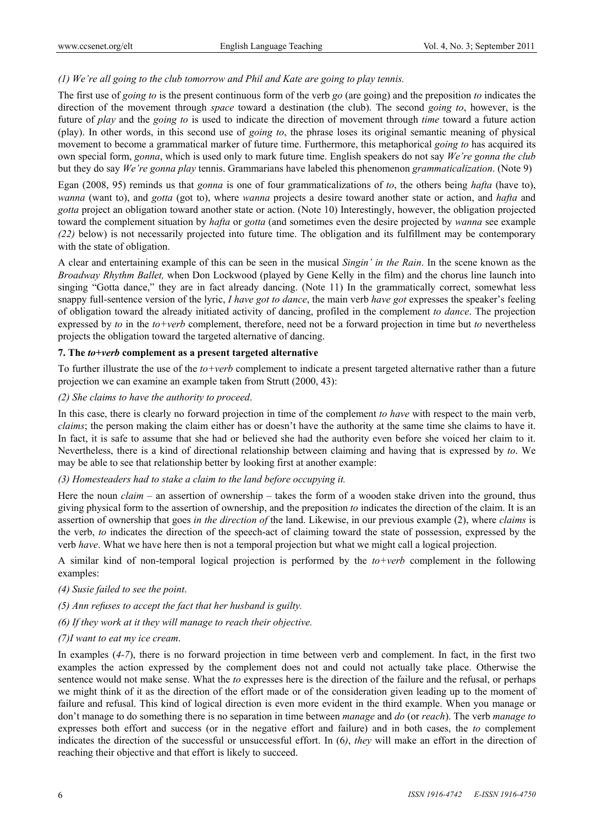# *(1) We're all going to the club tomorrow and Phil and Kate are going to play tennis.*

The first use of *going to* is the present continuous form of the verb *go* (are going) and the preposition *to* indicates the direction of the movement through *space* toward a destination (the club). The second *going to*, however, is the future of *play* and the *going to* is used to indicate the direction of movement through *time* toward a future action (play). In other words, in this second use of *going to*, the phrase loses its original semantic meaning of physical movement to become a grammatical marker of future time. Furthermore, this metaphorical *going to* has acquired its own special form, *gonna*, which is used only to mark future time. English speakers do not say *We're gonna the club* but they do say *We're gonna play* tennis. Grammarians have labeled this phenomenon *grammaticalization*. (Note 9)

Egan (2008, 95) reminds us that *gonna* is one of four grammaticalizations of *to*, the others being *hafta* (have to), *wanna* (want to), and *gotta* (got to), where *wanna* projects a desire toward another state or action, and *hafta* and *gotta* project an obligation toward another state or action. (Note 10) Interestingly, however, the obligation projected toward the complement situation by *hafta* or *gotta* (and sometimes even the desire projected by *wanna* see example *(22)* below) is not necessarily projected into future time. The obligation and its fulfillment may be contemporary with the state of obligation.

A clear and entertaining example of this can be seen in the musical *Singin' in the Rain*. In the scene known as the *Broadway Rhythm Ballet,* when Don Lockwood (played by Gene Kelly in the film) and the chorus line launch into singing "Gotta dance," they are in fact already dancing. (Note 11) In the grammatically correct, somewhat less snappy full-sentence version of the lyric, *I have got to dance*, the main verb *have got* expresses the speaker's feeling of obligation toward the already initiated activity of dancing, profiled in the complement *to dance*. The projection expressed by *to* in the *to+verb* complement, therefore, need not be a forward projection in time but *to* nevertheless projects the obligation toward the targeted alternative of dancing.

## **7. The** *to+verb* **complement as a present targeted alternative**

To further illustrate the use of the *to+verb* complement to indicate a present targeted alternative rather than a future projection we can examine an example taken from Strutt (2000, 43):

## *(2) She claims to have the authority to proceed*.

In this case, there is clearly no forward projection in time of the complement *to have* with respect to the main verb, *claims*; the person making the claim either has or doesn't have the authority at the same time she claims to have it. In fact, it is safe to assume that she had or believed she had the authority even before she voiced her claim to it. Nevertheless, there is a kind of directional relationship between claiming and having that is expressed by *to*. We may be able to see that relationship better by looking first at another example:

# *(3) Homesteaders had to stake a claim to the land before occupying it.*

Here the noun *claim* – an assertion of ownership – takes the form of a wooden stake driven into the ground, thus giving physical form to the assertion of ownership, and the preposition *to* indicates the direction of the claim. It is an assertion of ownership that goes *in the direction of* the land. Likewise, in our previous example (2), where *claims* is the verb, *to* indicates the direction of the speech-act of claiming toward the state of possession, expressed by the verb *have*. What we have here then is not a temporal projection but what we might call a logical projection.

A similar kind of non-temporal logical projection is performed by the *to+verb* complement in the following examples:

- *(4) Susie failed to see the point*.
- *(5) Ann refuses to accept the fact that her husband is guilty.*
- *(6) If they work at it they will manage to reach their objective.*

#### *(7)I want to eat my ice cream*.

In examples (*4-7*), there is no forward projection in time between verb and complement. In fact, in the first two examples the action expressed by the complement does not and could not actually take place. Otherwise the sentence would not make sense. What the *to* expresses here is the direction of the failure and the refusal, or perhaps we might think of it as the direction of the effort made or of the consideration given leading up to the moment of failure and refusal. This kind of logical direction is even more evident in the third example. When you manage or don't manage to do something there is no separation in time between *manage* and *do* (or *reach*). The verb *manage to* expresses both effort and success (or in the negative effort and failure) and in both cases, the *to* complement indicates the direction of the successful or unsuccessful effort. In (6*)*, *they* will make an effort in the direction of reaching their objective and that effort is likely to succeed.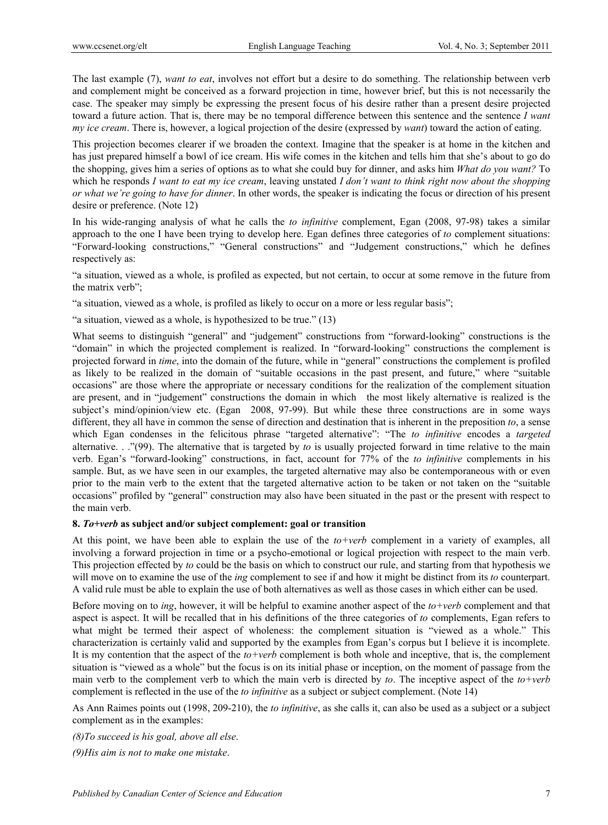The last example (7), *want to eat*, involves not effort but a desire to do something. The relationship between verb and complement might be conceived as a forward projection in time, however brief, but this is not necessarily the case. The speaker may simply be expressing the present focus of his desire rather than a present desire projected toward a future action. That is, there may be no temporal difference between this sentence and the sentence *I want my ice cream*. There is, however, a logical projection of the desire (expressed by *want*) toward the action of eating.

This projection becomes clearer if we broaden the context. Imagine that the speaker is at home in the kitchen and has just prepared himself a bowl of ice cream. His wife comes in the kitchen and tells him that she's about to go do the shopping, gives him a series of options as to what she could buy for dinner, and asks him *What do you want?* To which he responds *I want to eat my ice cream*, leaving unstated *I don't want to think right now about the shopping or what we're going to have for dinner*. In other words, the speaker is indicating the focus or direction of his present desire or preference. (Note 12)

In his wide-ranging analysis of what he calls the *to infinitive* complement, Egan (2008, 97-98) takes a similar approach to the one I have been trying to develop here. Egan defines three categories of *to* complement situations: "Forward-looking constructions," "General constructions" and "Judgement constructions," which he defines respectively as:

"a situation, viewed as a whole, is profiled as expected, but not certain, to occur at some remove in the future from the matrix verb";

"a situation, viewed as a whole, is profiled as likely to occur on a more or less regular basis";

"a situation, viewed as a whole, is hypothesized to be true." (13)

What seems to distinguish "general" and "judgement" constructions from "forward-looking" constructions is the "domain" in which the projected complement is realized. In "forward-looking" constructions the complement is projected forward in *time*, into the domain of the future, while in "general" constructions the complement is profiled as likely to be realized in the domain of "suitable occasions in the past present, and future," where "suitable occasions" are those where the appropriate or necessary conditions for the realization of the complement situation are present, and in "judgement" constructions the domain in which the most likely alternative is realized is the subject's mind/opinion/view etc. (Egan 2008, 97-99). But while these three constructions are in some ways different, they all have in common the sense of direction and destination that is inherent in the preposition *to*, a sense which Egan condenses in the felicitous phrase "targeted alternative": "The *to infinitive* encodes a *targeted*  alternative. . ."(99). The alternative that is targeted by *to* is usually projected forward in time relative to the main verb. Egan's "forward-looking" constructions, in fact, account for 77% of the *to infinitive* complements in his sample. But, as we have seen in our examples, the targeted alternative may also be contemporaneous with or even prior to the main verb to the extent that the targeted alternative action to be taken or not taken on the "suitable occasions" profiled by "general" construction may also have been situated in the past or the present with respect to the main verb.

# **8.** *To+verb* **as subject and/or subject complement: goal or transition**

At this point, we have been able to explain the use of the *to+verb* complement in a variety of examples, all involving a forward projection in time or a psycho-emotional or logical projection with respect to the main verb. This projection effected by *to* could be the basis on which to construct our rule, and starting from that hypothesis we will move on to examine the use of the *ing* complement to see if and how it might be distinct from its *to* counterpart. A valid rule must be able to explain the use of both alternatives as well as those cases in which either can be used.

Before moving on to *ing*, however, it will be helpful to examine another aspect of the *to+verb* complement and that aspect is aspect. It will be recalled that in his definitions of the three categories of *to* complements, Egan refers to what might be termed their aspect of wholeness: the complement situation is "viewed as a whole." This characterization is certainly valid and supported by the examples from Egan's corpus but I believe it is incomplete. It is my contention that the aspect of the *to+verb* complement is both whole and inceptive, that is, the complement situation is "viewed as a whole" but the focus is on its initial phase or inception, on the moment of passage from the main verb to the complement verb to which the main verb is directed by *to*. The inceptive aspect of the *to+verb*  complement is reflected in the use of the *to infinitive* as a subject or subject complement. (Note 14)

As Ann Raimes points out (1998, 209-210), the *to infinitive*, as she calls it, can also be used as a subject or a subject complement as in the examples:

*(8)To succeed is his goal, above all else*.

*(9)His aim is not to make one mistake*.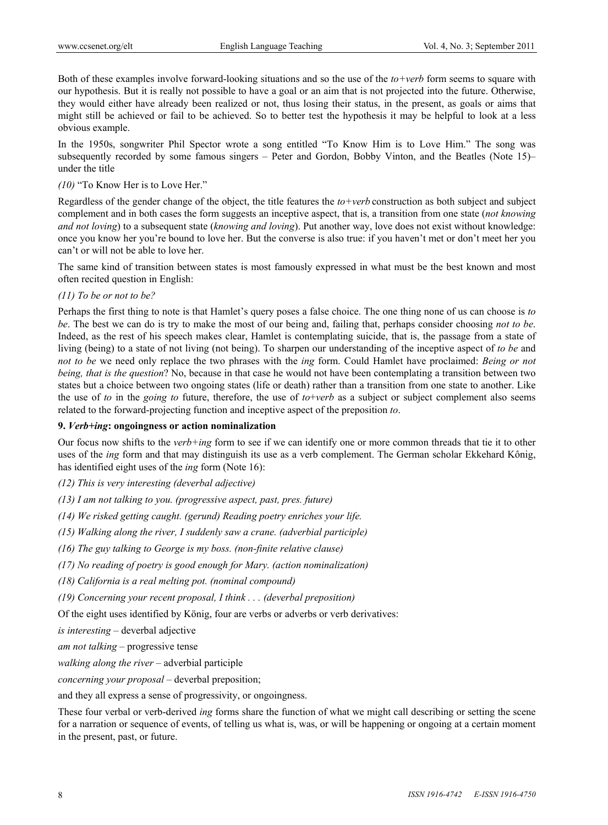Both of these examples involve forward-looking situations and so the use of the *to+verb* form seems to square with our hypothesis. But it is really not possible to have a goal or an aim that is not projected into the future. Otherwise, they would either have already been realized or not, thus losing their status, in the present, as goals or aims that might still be achieved or fail to be achieved. So to better test the hypothesis it may be helpful to look at a less obvious example.

In the 1950s, songwriter Phil Spector wrote a song entitled "To Know Him is to Love Him." The song was subsequently recorded by some famous singers – Peter and Gordon, Bobby Vinton, and the Beatles (Note 15)– under the title

# *(10)* "To Know Her is to Love Her."

Regardless of the gender change of the object, the title features the *to+verb* construction as both subject and subject complement and in both cases the form suggests an inceptive aspect, that is, a transition from one state (*not knowing and not loving*) to a subsequent state (*knowing and loving*). Put another way, love does not exist without knowledge: once you know her you're bound to love her. But the converse is also true: if you haven't met or don't meet her you can't or will not be able to love her.

The same kind of transition between states is most famously expressed in what must be the best known and most often recited question in English:

# *(11) To be or not to be?*

Perhaps the first thing to note is that Hamlet's query poses a false choice. The one thing none of us can choose is *to be*. The best we can do is try to make the most of our being and, failing that, perhaps consider choosing *not to be*. Indeed, as the rest of his speech makes clear, Hamlet is contemplating suicide, that is, the passage from a state of living (being) to a state of not living (not being). To sharpen our understanding of the inceptive aspect of *to be* and *not to be* we need only replace the two phrases with the *ing* form. Could Hamlet have proclaimed: *Being or not being, that is the question*? No, because in that case he would not have been contemplating a transition between two states but a choice between two ongoing states (life or death) rather than a transition from one state to another. Like the use of *to* in the *going to* future, therefore, the use of *to*+*verb* as a subject or subject complement also seems related to the forward-projecting function and inceptive aspect of the preposition *to*.

#### **9.** *Verb+ing***: ongoingness or action nominalization**

Our focus now shifts to the *verb+ing* form to see if we can identify one or more common threads that tie it to other uses of the *ing* form and that may distinguish its use as a verb complement. The German scholar Ekkehard Kônig, has identified eight uses of the *ing* form (Note 16):

*(12) This is very interesting (deverbal adjective)* 

*(13) I am not talking to you. (progressive aspect, past, pres. future)* 

*(14) We risked getting caught. (gerund) Reading poetry enriches your life.* 

*(15) Walking along the river, I suddenly saw a crane. (adverbial participle)* 

*(16) The guy talking to George is my boss. (non-finite relative clause)* 

*(17) No reading of poetry is good enough for Mary. (action nominalization)* 

*(18) California is a real melting pot. (nominal compound)* 

*(19) Concerning your recent proposal, I think . . . (deverbal preposition)*

Of the eight uses identified by König, four are verbs or adverbs or verb derivatives:

*is interesting* – deverbal adjective

*am not talking* – progressive tense

*walking along the river* – adverbial participle

*concerning your proposal* – deverbal preposition;

and they all express a sense of progressivity, or ongoingness.

These four verbal or verb-derived *ing* forms share the function of what we might call describing or setting the scene for a narration or sequence of events, of telling us what is, was, or will be happening or ongoing at a certain moment in the present, past, or future.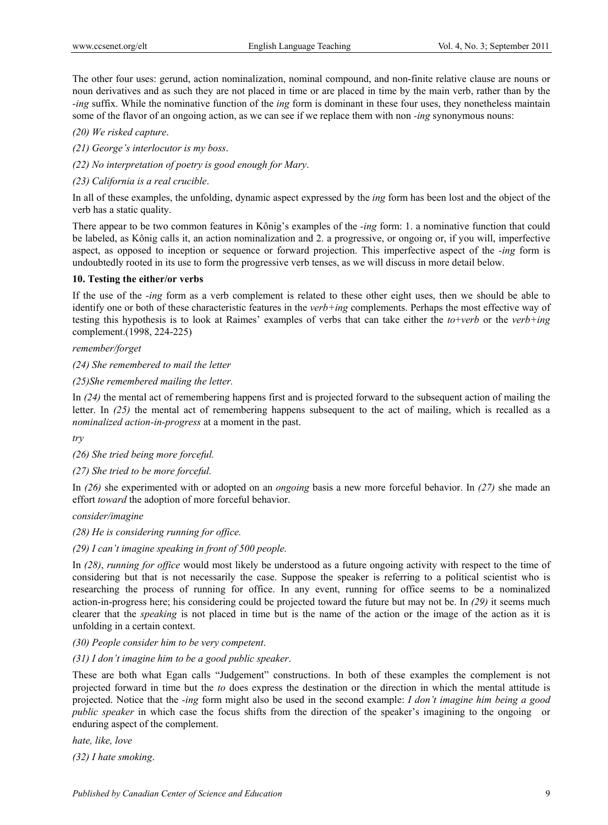The other four uses: gerund, action nominalization, nominal compound, and non-finite relative clause are nouns or noun derivatives and as such they are not placed in time or are placed in time by the main verb, rather than by the *-ing* suffix. While the nominative function of the *ing* form is dominant in these four uses, they nonetheless maintain some of the flavor of an ongoing action, as we can see if we replace them with non *-ing* synonymous nouns:

*(20) We risked capture*.

*(21) George's interlocutor is my boss*.

*(22) No interpretation of poetry is good enough for Mary*.

*(23) California is a real crucible*.

In all of these examples, the unfolding, dynamic aspect expressed by the *ing* form has been lost and the object of the verb has a static quality.

There appear to be two common features in Kônig's examples of the *-ing* form: 1. a nominative function that could be labeled, as Kônig calls it, an action nominalization and 2. a progressive, or ongoing or, if you will, imperfective aspect, as opposed to inception or sequence or forward projection. This imperfective aspect of the *-ing* form is undoubtedly rooted in its use to form the progressive verb tenses, as we will discuss in more detail below.

## **10. Testing the either/or verbs**

If the use of the *-ing* form as a verb complement is related to these other eight uses, then we should be able to identify one or both of these characteristic features in the *verb+ing* complements. Perhaps the most effective way of testing this hypothesis is to look at Raimes' examples of verbs that can take either the *to*+*verb* or the *verb+ing* complement.(1998, 224-225)

*remember/forget* 

*(24) She remembered to mail the letter* 

*(25)She remembered mailing the letter.* 

In *(24)* the mental act of remembering happens first and is projected forward to the subsequent action of mailing the letter. In *(25)* the mental act of remembering happens subsequent to the act of mailing, which is recalled as a *nominalized action-in-progress* at a moment in the past.

*try* 

*(26) She tried being more forceful.* 

*(27) She tried to be more forceful.* 

In *(26)* she experimented with or adopted on an *ongoing* basis a new more forceful behavior. In *(27)* she made an effort *toward* the adoption of more forceful behavior.

*consider/imagine* 

*(28) He is considering running for office.* 

*(29) I can't imagine speaking in front of 500 people.* 

In *(28)*, *running for office* would most likely be understood as a future ongoing activity with respect to the time of considering but that is not necessarily the case. Suppose the speaker is referring to a political scientist who is researching the process of running for office. In any event, running for office seems to be a nominalized action-in-progress here; his considering could be projected toward the future but may not be. In *(29)* it seems much clearer that the *speaking* is not placed in time but is the name of the action or the image of the action as it is unfolding in a certain context.

*(30) People consider him to be very competent*.

#### *(31) I don't imagine him to be a good public speaker*.

These are both what Egan calls "Judgement" constructions. In both of these examples the complement is not projected forward in time but the *to* does express the destination or the direction in which the mental attitude is projected. Notice that the *-ing* form might also be used in the second example: *I don't imagine him being a good public speaker* in which case the focus shifts from the direction of the speaker's imagining to the ongoing or enduring aspect of the complement.

*hate, like, love* 

*(32) I hate smoking*.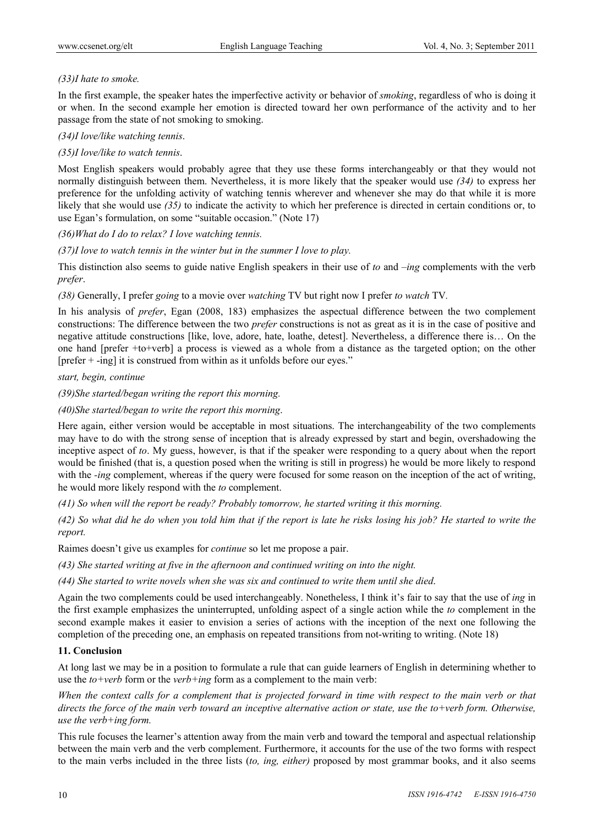# *(33)I hate to smoke.*

In the first example, the speaker hates the imperfective activity or behavior of *smoking*, regardless of who is doing it or when. In the second example her emotion is directed toward her own performance of the activity and to her passage from the state of not smoking to smoking.

# *(34)I love/like watching tennis*.

# *(35)I love/like to watch tennis*.

Most English speakers would probably agree that they use these forms interchangeably or that they would not normally distinguish between them. Nevertheless, it is more likely that the speaker would use *(34)* to express her preference for the unfolding activity of watching tennis wherever and whenever she may do that while it is more likely that she would use *(35)* to indicate the activity to which her preference is directed in certain conditions or, to use Egan's formulation, on some "suitable occasion." (Note 17)

*(36)What do I do to relax? I love watching tennis.* 

*(37)I love to watch tennis in the winter but in the summer I love to play.* 

This distinction also seems to guide native English speakers in their use of *to* and *–ing* complements with the verb *prefer*.

*(38)* Generally, I prefer *going* to a movie over *watching* TV but right now I prefer *to watch* TV*.*

In his analysis of *prefer*, Egan (2008, 183) emphasizes the aspectual difference between the two complement constructions: The difference between the two *prefer* constructions is not as great as it is in the case of positive and negative attitude constructions [like, love, adore, hate, loathe, detest]. Nevertheless, a difference there is… On the one hand [prefer +to+verb] a process is viewed as a whole from a distance as the targeted option; on the other [prefer + -ing] it is construed from within as it unfolds before our eyes."

*start, begin, continue* 

*(39)She started/began writing the report this morning.*

*(40)She started/began to write the report this morning*.

Here again, either version would be acceptable in most situations. The interchangeability of the two complements may have to do with the strong sense of inception that is already expressed by start and begin, overshadowing the inceptive aspect of *to*. My guess, however, is that if the speaker were responding to a query about when the report would be finished (that is, a question posed when the writing is still in progress) he would be more likely to respond with the *-ing* complement, whereas if the query were focused for some reason on the inception of the act of writing, he would more likely respond with the *to* complement.

*(41) So when will the report be ready? Probably tomorrow, he started writing it this morning.* 

*(42) So what did he do when you told him that if the report is late he risks losing his job? He started to write the report.* 

Raimes doesn't give us examples for *continue* so let me propose a pair.

*(43) She started writing at five in the afternoon and continued writing on into the night.* 

*(44) She started to write novels when she was six and continued to write them until she died*.

Again the two complements could be used interchangeably. Nonetheless, I think it's fair to say that the use of *ing* in the first example emphasizes the uninterrupted, unfolding aspect of a single action while the *to* complement in the second example makes it easier to envision a series of actions with the inception of the next one following the completion of the preceding one, an emphasis on repeated transitions from not-writing to writing. (Note 18)

# **11. Conclusion**

At long last we may be in a position to formulate a rule that can guide learners of English in determining whether to use the *to+verb* form or the *verb+ing* form as a complement to the main verb:

*When the context calls for a complement that is projected forward in time with respect to the main verb or that directs the force of the main verb toward an inceptive alternative action or state, use the to+verb form. Otherwise, use the verb+ing form.*

This rule focuses the learner's attention away from the main verb and toward the temporal and aspectual relationship between the main verb and the verb complement. Furthermore, it accounts for the use of the two forms with respect to the main verbs included in the three lists (*to, ing, either)* proposed by most grammar books, and it also seems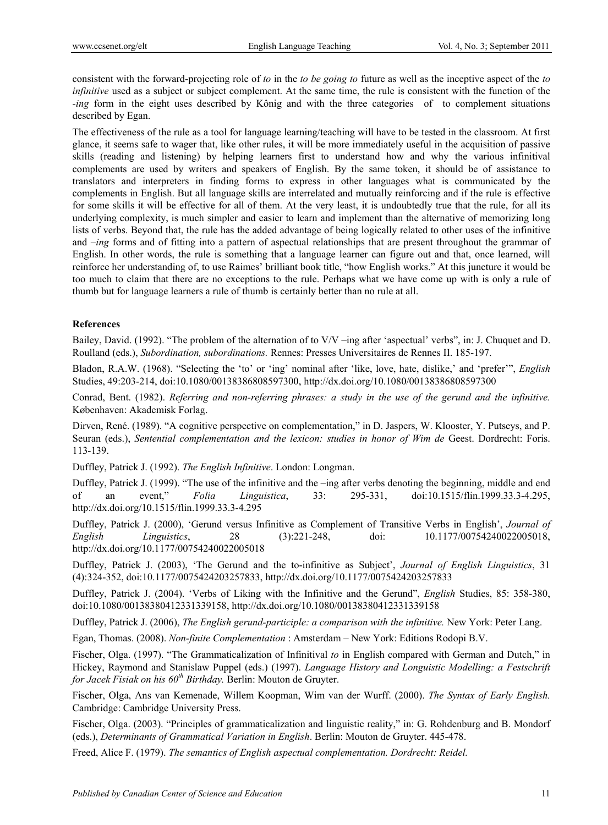consistent with the forward-projecting role of *to* in the *to be going to* future as well as the inceptive aspect of the *to infinitive* used as a subject or subject complement. At the same time, the rule is consistent with the function of the *-ing* form in the eight uses described by Kônig and with the three categories of to complement situations described by Egan.

The effectiveness of the rule as a tool for language learning/teaching will have to be tested in the classroom. At first glance, it seems safe to wager that, like other rules, it will be more immediately useful in the acquisition of passive skills (reading and listening) by helping learners first to understand how and why the various infinitival complements are used by writers and speakers of English. By the same token, it should be of assistance to translators and interpreters in finding forms to express in other languages what is communicated by the complements in English. But all language skills are interrelated and mutually reinforcing and if the rule is effective for some skills it will be effective for all of them. At the very least, it is undoubtedly true that the rule, for all its underlying complexity, is much simpler and easier to learn and implement than the alternative of memorizing long lists of verbs. Beyond that, the rule has the added advantage of being logically related to other uses of the infinitive and –*ing* forms and of fitting into a pattern of aspectual relationships that are present throughout the grammar of English. In other words, the rule is something that a language learner can figure out and that, once learned, will reinforce her understanding of, to use Raimes' brilliant book title, "how English works." At this juncture it would be too much to claim that there are no exceptions to the rule. Perhaps what we have come up with is only a rule of thumb but for language learners a rule of thumb is certainly better than no rule at all.

# **References**

Bailey, David. (1992). "The problem of the alternation of to V/V –ing after 'aspectual' verbs", in: J. Chuquet and D. Roulland (eds.), *Subordination, subordinations.* Rennes: Presses Universitaires de Rennes II. 185-197.

Bladon, R.A.W. (1968). "Selecting the 'to' or 'ing' nominal after 'like, love, hate, dislike,' and 'prefer'", *English*  Studies, 49:203-214, doi:10.1080/00138386808597300, http://dx.doi.org/10.1080/00138386808597300

Conrad, Bent. (1982). *Referring and non-referring phrases: a study in the use of the gerund and the infinitive.* Københaven: Akademisk Forlag.

Dirven, René. (1989). "A cognitive perspective on complementation," in D. Jaspers, W. Klooster, Y. Putseys, and P. Seuran (eds.), *Sentential complementation and the lexicon: studies in honor of Wim de* Geest. Dordrecht: Foris. 113-139.

Duffley, Patrick J. (1992). *The English Infinitive*. London: Longman.

Duffley, Patrick J. (1999). "The use of the infinitive and the –ing after verbs denoting the beginning, middle and end of an event," *Folia Linguistica*, 33: 295-331, doi:10.1515/flin.1999.33.3-4.295, http://dx.doi.org/10.1515/flin.1999.33.3-4.295

Duffley, Patrick J. (2000), 'Gerund versus Infinitive as Complement of Transitive Verbs in English', *Journal of English Linguistics*, 28 (3):221-248, doi: 10.1177/00754240022005018, http://dx.doi.org/10.1177/00754240022005018

Duffley, Patrick J. (2003), 'The Gerund and the to-infinitive as Subject', *Journal of English Linguistics*, 31 (4):324-352, doi:10.1177/0075424203257833, http://dx.doi.org/10.1177/0075424203257833

Duffley, Patrick J. (2004). 'Verbs of Liking with the Infinitive and the Gerund", *English* Studies, 85: 358-380, doi:10.1080/00138380412331339158, http://dx.doi.org/10.1080/00138380412331339158

Duffley, Patrick J. (2006), *The English gerund-participle: a comparison with the infinitive.* New York: Peter Lang.

Egan, Thomas. (2008). *Non-finite Complementation* : Amsterdam – New York: Editions Rodopi B.V.

Fischer, Olga. (1997). "The Grammaticalization of Infinitival *to* in English compared with German and Dutch," in Hickey, Raymond and Stanislaw Puppel (eds.) (1997). *Language History and Longuistic Modelling: a Festschrift for Jacek Fisiak on his 60th Birthday.* Berlin: Mouton de Gruyter.

Fischer, Olga, Ans van Kemenade, Willem Koopman, Wim van der Wurff. (2000). *The Syntax of Early English.*  Cambridge: Cambridge University Press.

Fischer, Olga. (2003). "Principles of grammaticalization and linguistic reality," in: G. Rohdenburg and B. Mondorf (eds.), *Determinants of Grammatical Variation in English*. Berlin: Mouton de Gruyter. 445-478.

Freed, Alice F. (1979). *The semantics of English aspectual complementation. Dordrecht: Reidel.*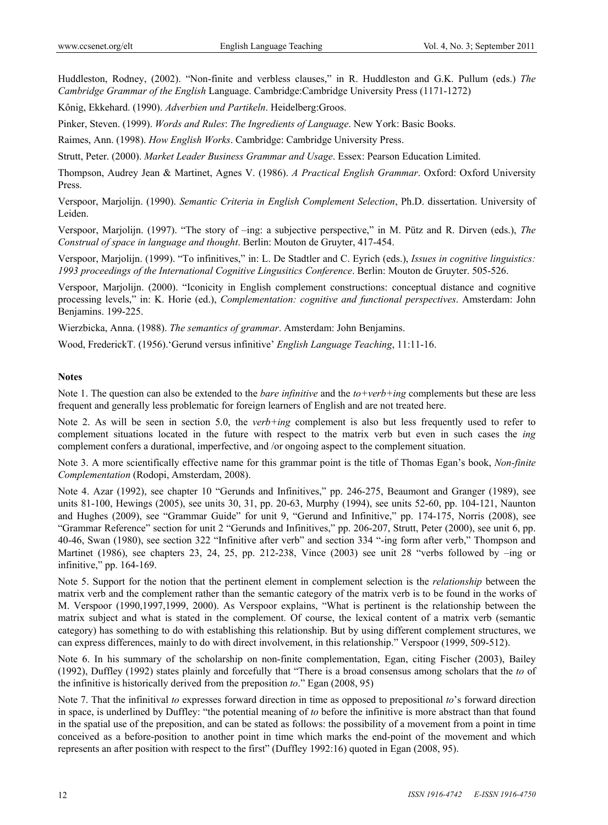Huddleston, Rodney, (2002). "Non-finite and verbless clauses," in R. Huddleston and G.K. Pullum (eds.) *The Cambridge Grammar of the English* Language. Cambridge:Cambridge University Press (1171-1272)

Kônig, Ekkehard. (1990). *Adverbien und Partikeln*. Heidelberg:Groos.

Pinker, Steven. (1999). *Words and Rules*: *The Ingredients of Language*. New York: Basic Books.

Raimes, Ann. (1998). *How English Works*. Cambridge: Cambridge University Press.

Strutt, Peter. (2000). *Market Leader Business Grammar and Usage*. Essex: Pearson Education Limited.

Thompson, Audrey Jean & Martinet, Agnes V. (1986). *A Practical English Grammar*. Oxford: Oxford University Press.

Verspoor, Marjolijn. (1990). *Semantic Criteria in English Complement Selection*, Ph.D. dissertation. University of Leiden.

Verspoor, Marjolijn. (1997). "The story of –ing: a subjective perspective," in M. Pütz and R. Dirven (eds.), *The Construal of space in language and thought*. Berlin: Mouton de Gruyter, 417-454.

Verspoor, Marjolijn. (1999). "To infinitives," in: L. De Stadtler and C. Eyrich (eds.), *Issues in cognitive linguistics: 1993 proceedings of the International Cognitive Lingusitics Conference*. Berlin: Mouton de Gruyter. 505-526.

Verspoor, Marjolijn. (2000). "Iconicity in English complement constructions: conceptual distance and cognitive processing levels," in: K. Horie (ed.), *Complementation: cognitive and functional perspectives*. Amsterdam: John Benjamins. 199-225.

Wierzbicka, Anna. (1988). *The semantics of grammar*. Amsterdam: John Benjamins.

Wood, FrederickT. (1956).'Gerund versus infinitive' *English Language Teaching*, 11:11-16.

## **Notes**

Note 1. The question can also be extended to the *bare infinitive* and the *to+verb+ing* complements but these are less frequent and generally less problematic for foreign learners of English and are not treated here.

Note 2. As will be seen in section 5.0, the *verb+ing* complement is also but less frequently used to refer to complement situations located in the future with respect to the matrix verb but even in such cases the *ing* complement confers a durational, imperfective, and /or ongoing aspect to the complement situation.

Note 3. A more scientifically effective name for this grammar point is the title of Thomas Egan's book, *Non-finite Complementation* (Rodopi, Amsterdam, 2008).

Note 4. Azar (1992), see chapter 10 "Gerunds and Infinitives," pp. 246-275, Beaumont and Granger (1989), see units 81-100, Hewings (2005), see units 30, 31, pp. 20-63, Murphy (1994), see units 52-60, pp. 104-121, Naunton and Hughes (2009), see "Grammar Guide" for unit 9, "Gerund and Infinitive," pp. 174-175, Norris (2008), see "Grammar Reference" section for unit 2 "Gerunds and Infinitives," pp. 206-207, Strutt, Peter (2000), see unit 6, pp. 40-46, Swan (1980), see section 322 "Infinitive after verb" and section 334 "-ing form after verb," Thompson and Martinet (1986), see chapters 23, 24, 25, pp. 212-238, Vince (2003) see unit 28 "verbs followed by –ing or infinitive," pp. 164-169.

Note 5. Support for the notion that the pertinent element in complement selection is the *relationship* between the matrix verb and the complement rather than the semantic category of the matrix verb is to be found in the works of M. Verspoor (1990,1997,1999, 2000). As Verspoor explains, "What is pertinent is the relationship between the matrix subject and what is stated in the complement. Of course, the lexical content of a matrix verb (semantic category) has something to do with establishing this relationship. But by using different complement structures, we can express differences, mainly to do with direct involvement, in this relationship." Verspoor (1999, 509-512).

Note 6. In his summary of the scholarship on non-finite complementation, Egan, citing Fischer (2003), Bailey (1992), Duffley (1992) states plainly and forcefully that "There is a broad consensus among scholars that the *to* of the infinitive is historically derived from the preposition *to*." Egan (2008, 95)

Note 7. That the infinitival *to* expresses forward direction in time as opposed to prepositional *to*'s forward direction in space, is underlined by Duffley: "the potential meaning of *to* before the infinitive is more abstract than that found in the spatial use of the preposition, and can be stated as follows: the possibility of a movement from a point in time conceived as a before-position to another point in time which marks the end-point of the movement and which represents an after position with respect to the first" (Duffley 1992:16) quoted in Egan (2008, 95).